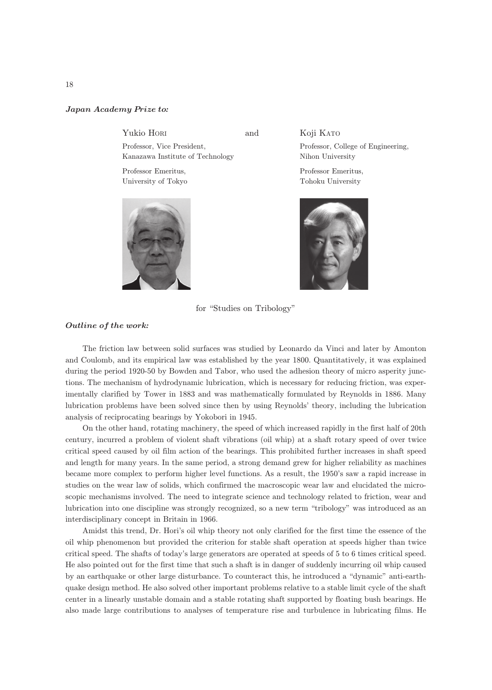## Japan Academy Prize to*:*

Yukio HORI and

Professor, Vice President, Kanazawa Institute of Technology

Professor Emeritus, University of Tokyo



## Koji KATO

Professor, College of Engineering, Nihon University

Professor Emeritus, Tohoku University



for "Studies on Tribology"

## Outline of the work*:*

The friction law between solid surfaces was studied by Leonardo da Vinci and later by Amonton and Coulomb, and its empirical law was established by the year 1800. Quantitatively, it was explained during the period 1920-50 by Bowden and Tabor, who used the adhesion theory of micro asperity junctions. The mechanism of hydrodynamic lubrication, which is necessary for reducing friction, was experimentally clarified by Tower in 1883 and was mathematically formulated by Reynolds in 1886. Many lubrication problems have been solved since then by using Reynolds' theory, including the lubrication analysis of reciprocating bearings by Yokobori in 1945.

On the other hand, rotating machinery, the speed of which increased rapidly in the first half of 20th century, incurred a problem of violent shaft vibrations (oil whip) at a shaft rotary speed of over twice critical speed caused by oil film action of the bearings. This prohibited further increases in shaft speed and length for many years. In the same period, a strong demand grew for higher reliability as machines became more complex to perform higher level functions. As a result, the 1950's saw a rapid increase in studies on the wear law of solids, which confirmed the macroscopic wear law and elucidated the microscopic mechanisms involved. The need to integrate science and technology related to friction, wear and lubrication into one discipline was strongly recognized, so a new term "tribology" was introduced as an interdisciplinary concept in Britain in 1966.

Amidst this trend, Dr. Hori's oil whip theory not only clarified for the first time the essence of the oil whip phenomenon but provided the criterion for stable shaft operation at speeds higher than twice critical speed. The shafts of today's large generators are operated at speeds of 5 to 6 times critical speed. He also pointed out for the first time that such a shaft is in danger of suddenly incurring oil whip caused by an earthquake or other large disturbance. To counteract this, he introduced a "dynamic" anti-earthquake design method. He also solved other important problems relative to a stable limit cycle of the shaft center in a linearly unstable domain and a stable rotating shaft supported by floating bush bearings. He also made large contributions to analyses of temperature rise and turbulence in lubricating films. He

18